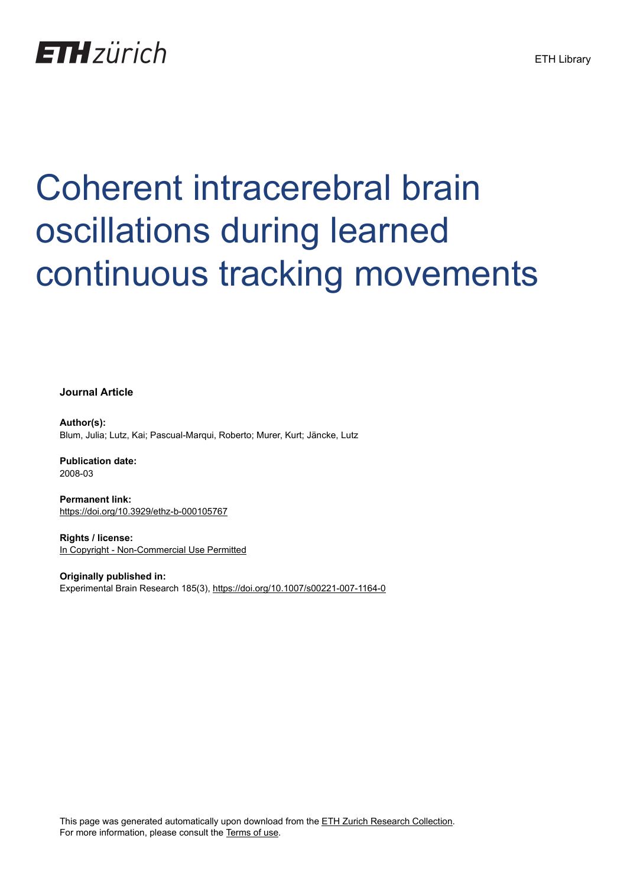## **ETH**zürich

# Coherent intracerebral brain oscillations during learned continuous tracking movements

**Journal Article**

**Author(s):** Blum, Julia; Lutz, Kai; Pascual-Marqui, Roberto; Murer, Kurt; Jäncke, Lutz

**Publication date:** 2008-03

**Permanent link:** <https://doi.org/10.3929/ethz-b-000105767>

**Rights / license:** [In Copyright - Non-Commercial Use Permitted](http://rightsstatements.org/page/InC-NC/1.0/)

**Originally published in:** Experimental Brain Research 185(3),<https://doi.org/10.1007/s00221-007-1164-0>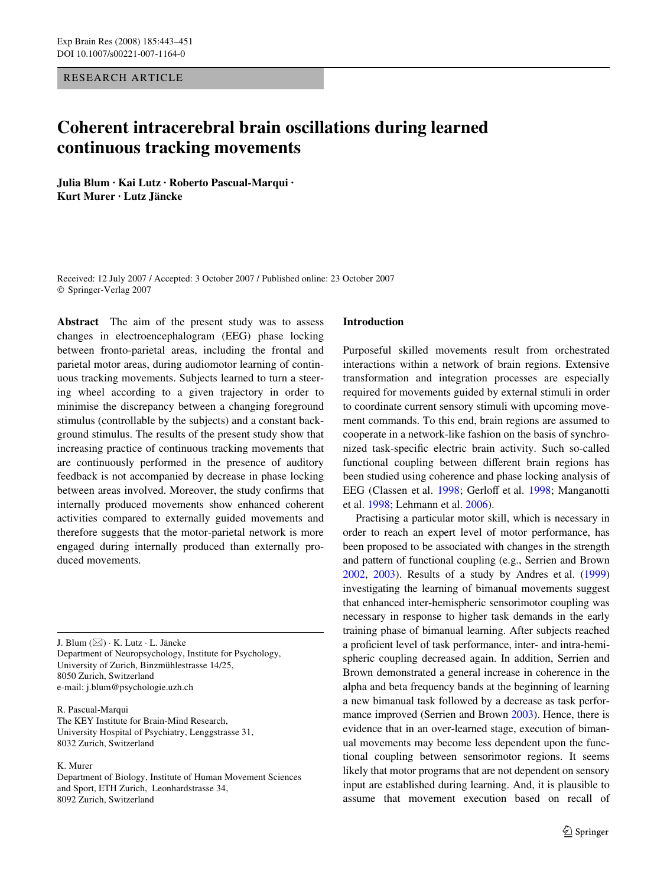RESEARCH ARTICLE

### **Coherent intracerebral brain oscillations during learned continuous tracking movements**

**Julia Blum · Kai Lutz · Roberto Pascual-Marqui · Kurt Murer · Lutz Jäncke** 

Received: 12 July 2007 / Accepted: 3 October 2007 / Published online: 23 October 2007 © Springer-Verlag 2007

**Abstract** The aim of the present study was to assess changes in electroencephalogram (EEG) phase locking between fronto-parietal areas, including the frontal and parietal motor areas, during audiomotor learning of continuous tracking movements. Subjects learned to turn a steering wheel according to a given trajectory in order to minimise the discrepancy between a changing foreground stimulus (controllable by the subjects) and a constant background stimulus. The results of the present study show that increasing practice of continuous tracking movements that are continuously performed in the presence of auditory feedback is not accompanied by decrease in phase locking between areas involved. Moreover, the study confirms that internally produced movements show enhanced coherent activities compared to externally guided movements and therefore suggests that the motor-parietal network is more engaged during internally produced than externally produced movements.

J. Blum (&) · K. Lutz · L. Jäncke Department of Neuropsychology, Institute for Psychology, University of Zurich, Binzmühlestrasse 14/25, 8050 Zurich, Switzerland e-mail: j.blum@psychologie.uzh.ch

R. Pascual-Marqui The KEY Institute for Brain-Mind Research, University Hospital of Psychiatry, Lenggstrasse 31, 8032 Zurich, Switzerland

#### K. Murer

Department of Biology, Institute of Human Movement Sciences and Sport, ETH Zurich, Leonhardstrasse 34, 8092 Zurich, Switzerland

#### **Introduction**

Purposeful skilled movements result from orchestrated interactions within a network of brain regions. Extensive transformation and integration processes are especially required for movements guided by external stimuli in order to coordinate current sensory stimuli with upcoming movement commands. To this end, brain regions are assumed to cooperate in a network-like fashion on the basis of synchronized task-specific electric brain activity. Such so-called functional coupling between different brain regions has been studied using coherence and phase locking analysis of EEG (Classen et al. [1998](#page-9-0); Gerloff et al. [1998;](#page-9-1) Manganotti et al. [1998](#page-9-2); Lehmann et al. [2006](#page-9-3)).

Practising a particular motor skill, which is necessary in order to reach an expert level of motor performance, has been proposed to be associated with changes in the strength and pattern of functional coupling (e.g., Serrien and Brown [2002,](#page-9-4) [2003](#page-9-5)). Results of a study by Andres et al. [\(1999\)](#page-9-6) investigating the learning of bimanual movements suggest that enhanced inter-hemispheric sensorimotor coupling was necessary in response to higher task demands in the early training phase of bimanual learning. After subjects reached a proficient level of task performance, inter- and intra-hemispheric coupling decreased again. In addition, Serrien and Brown demonstrated a general increase in coherence in the alpha and beta frequency bands at the beginning of learning a new bimanual task followed by a decrease as task performance improved (Serrien and Brown [2003](#page-9-5)). Hence, there is evidence that in an over-learned stage, execution of bimanual movements may become less dependent upon the functional coupling between sensorimotor regions. It seems likely that motor programs that are not dependent on sensory input are established during learning. And, it is plausible to assume that movement execution based on recall of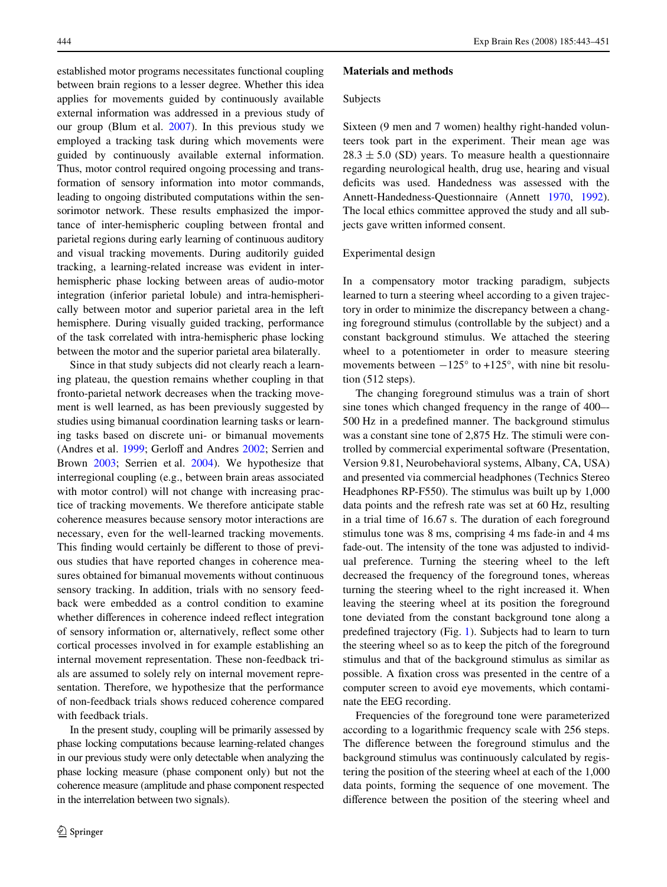established motor programs necessitates functional coupling between brain regions to a lesser degree. Whether this idea applies for movements guided by continuously available external information was addressed in a previous study of our group (Blum et al. [2007](#page-9-7)). In this previous study we employed a tracking task during which movements were guided by continuously available external information. Thus, motor control required ongoing processing and transformation of sensory information into motor commands, leading to ongoing distributed computations within the sensorimotor network. These results emphasized the importance of inter-hemispheric coupling between frontal and parietal regions during early learning of continuous auditory and visual tracking movements. During auditorily guided tracking, a learning-related increase was evident in interhemispheric phase locking between areas of audio-motor integration (inferior parietal lobule) and intra-hemispherically between motor and superior parietal area in the left hemisphere. During visually guided tracking, performance of the task correlated with intra-hemispheric phase locking between the motor and the superior parietal area bilaterally.

Since in that study subjects did not clearly reach a learning plateau, the question remains whether coupling in that fronto-parietal network decreases when the tracking movement is well learned, as has been previously suggested by studies using bimanual coordination learning tasks or learning tasks based on discrete uni- or bimanual movements (Andres et al. [1999](#page-9-6); Gerloff and Andres [2002;](#page-9-8) Serrien and Brown [2003;](#page-9-5) Serrien et al. [2004\)](#page-9-9). We hypothesize that interregional coupling (e.g., between brain areas associated with motor control) will not change with increasing practice of tracking movements. We therefore anticipate stable coherence measures because sensory motor interactions are necessary, even for the well-learned tracking movements. This finding would certainly be different to those of previous studies that have reported changes in coherence measures obtained for bimanual movements without continuous sensory tracking. In addition, trials with no sensory feedback were embedded as a control condition to examine whether differences in coherence indeed reflect integration of sensory information or, alternatively, reflect some other cortical processes involved in for example establishing an internal movement representation. These non-feedback trials are assumed to solely rely on internal movement representation. Therefore, we hypothesize that the performance of non-feedback trials shows reduced coherence compared with feedback trials.

In the present study, coupling will be primarily assessed by phase locking computations because learning-related changes in our previous study were only detectable when analyzing the phase locking measure (phase component only) but not the coherence measure (amplitude and phase component respected in the interrelation between two signals).

#### **Materials and methods**

#### Subjects

Sixteen (9 men and 7 women) healthy right-handed volunteers took part in the experiment. Their mean age was  $28.3 \pm 5.0$  (SD) years. To measure health a questionnaire regarding neurological health, drug use, hearing and visual deficits was used. Handedness was assessed with the Annett-Handedness-Questionnaire (Annett [1970,](#page-9-10) [1992](#page-9-11)). The local ethics committee approved the study and all subjects gave written informed consent.

#### Experimental design

In a compensatory motor tracking paradigm, subjects learned to turn a steering wheel according to a given trajectory in order to minimize the discrepancy between a changing foreground stimulus (controllable by the subject) and a constant background stimulus. We attached the steering wheel to a potentiometer in order to measure steering movements between  $-125^{\circ}$  to  $+125^{\circ}$ , with nine bit resolution (512 steps).

The changing foreground stimulus was a train of short sine tones which changed frequency in the range of 400–- 500 Hz in a predefined manner. The background stimulus was a constant sine tone of 2,875 Hz. The stimuli were controlled by commercial experimental software (Presentation, Version 9.81, Neurobehavioral systems, Albany, CA, USA) and presented via commercial headphones (Technics Stereo Headphones RP-F550). The stimulus was built up by 1,000 data points and the refresh rate was set at 60 Hz, resulting in a trial time of 16.67 s. The duration of each foreground stimulus tone was 8 ms, comprising 4 ms fade-in and 4 ms fade-out. The intensity of the tone was adjusted to individual preference. Turning the steering wheel to the left decreased the frequency of the foreground tones, whereas turning the steering wheel to the right increased it. When leaving the steering wheel at its position the foreground tone deviated from the constant background tone along a predefined trajectory (Fig. [1\)](#page-3-0). Subjects had to learn to turn the steering wheel so as to keep the pitch of the foreground stimulus and that of the background stimulus as similar as possible. A fixation cross was presented in the centre of a computer screen to avoid eye movements, which contaminate the EEG recording.

Frequencies of the foreground tone were parameterized according to a logarithmic frequency scale with 256 steps. The difference between the foreground stimulus and the background stimulus was continuously calculated by registering the position of the steering wheel at each of the 1,000 data points, forming the sequence of one movement. The difference between the position of the steering wheel and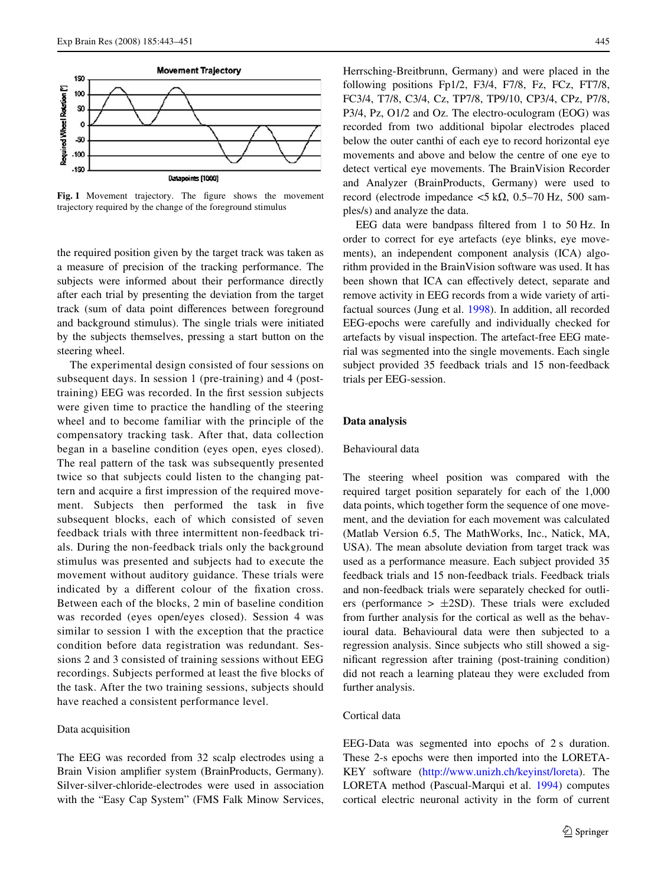

<span id="page-3-0"></span>Fig. 1 Movement trajectory. The figure shows the movement trajectory required by the change of the foreground stimulus

the required position given by the target track was taken as a measure of precision of the tracking performance. The subjects were informed about their performance directly after each trial by presenting the deviation from the target track (sum of data point differences between foreground and background stimulus). The single trials were initiated by the subjects themselves, pressing a start button on the steering wheel.

The experimental design consisted of four sessions on subsequent days. In session 1 (pre-training) and 4 (posttraining) EEG was recorded. In the first session subjects were given time to practice the handling of the steering wheel and to become familiar with the principle of the compensatory tracking task. After that, data collection began in a baseline condition (eyes open, eyes closed). The real pattern of the task was subsequently presented twice so that subjects could listen to the changing pattern and acquire a first impression of the required movement. Subjects then performed the task in five subsequent blocks, each of which consisted of seven feedback trials with three intermittent non-feedback trials. During the non-feedback trials only the background stimulus was presented and subjects had to execute the movement without auditory guidance. These trials were indicated by a different colour of the fixation cross. Between each of the blocks, 2 min of baseline condition was recorded (eyes open/eyes closed). Session 4 was similar to session 1 with the exception that the practice condition before data registration was redundant. Sessions 2 and 3 consisted of training sessions without EEG recordings. Subjects performed at least the five blocks of the task. After the two training sessions, subjects should have reached a consistent performance level.

#### Data acquisition

The EEG was recorded from 32 scalp electrodes using a Brain Vision amplifier system (BrainProducts, Germany). Silver-silver-chloride-electrodes were used in association with the "Easy Cap System" (FMS Falk Minow Services,

Herrsching-Breitbrunn, Germany) and were placed in the following positions Fp1/2, F3/4, F7/8, Fz, FCz, FT7/8, FC3/4, T7/8, C3/4, Cz, TP7/8, TP9/10, CP3/4, CPz, P7/8, P3/4, Pz, O1/2 and Oz. The electro-oculogram (EOG) was recorded from two additional bipolar electrodes placed below the outer canthi of each eye to record horizontal eye movements and above and below the centre of one eye to detect vertical eye movements. The BrainVision Recorder and Analyzer (BrainProducts, Germany) were used to record (electrode impedance  $\langle 5 \text{ k}\Omega, 0.5-70 \text{ Hz}, 500 \text{ sam}$ ples/s) and analyze the data.

EEG data were bandpass filtered from 1 to 50 Hz. In order to correct for eye artefacts (eye blinks, eye movements), an independent component analysis (ICA) algorithm provided in the BrainVision software was used. It has been shown that ICA can effectively detect, separate and remove activity in EEG records from a wide variety of artifactual sources (Jung et al. [1998](#page-9-12)). In addition, all recorded EEG-epochs were carefully and individually checked for artefacts by visual inspection. The artefact-free EEG material was segmented into the single movements. Each single subject provided 35 feedback trials and 15 non-feedback trials per EEG-session.

#### **Data analysis**

#### Behavioural data

The steering wheel position was compared with the required target position separately for each of the 1,000 data points, which together form the sequence of one movement, and the deviation for each movement was calculated (Matlab Version 6.5, The MathWorks, Inc., Natick, MA, USA). The mean absolute deviation from target track was used as a performance measure. Each subject provided 35 feedback trials and 15 non-feedback trials. Feedback trials and non-feedback trials were separately checked for outliers (performance  $> \pm 2SD$ ). These trials were excluded from further analysis for the cortical as well as the behavioural data. Behavioural data were then subjected to a regression analysis. Since subjects who still showed a significant regression after training (post-training condition) did not reach a learning plateau they were excluded from further analysis.

#### Cortical data

EEG-Data was segmented into epochs of 2 s duration. These 2-s epochs were then imported into the LORETA-KEY software [\(http://www.unizh.ch/keyinst/loreta\)](http://www.unizh.ch/keyinst/loreta). The LORETA method (Pascual-Marqui et al. [1994](#page-9-13)) computes cortical electric neuronal activity in the form of current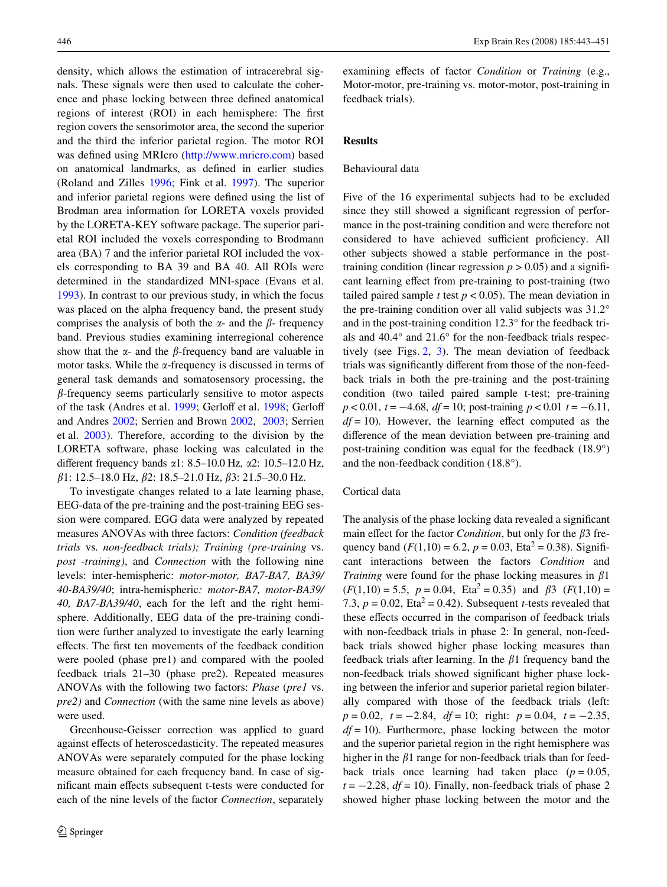density, which allows the estimation of intracerebral signals. These signals were then used to calculate the coherence and phase locking between three defined anatomical regions of interest (ROI) in each hemisphere: The first region covers the sensorimotor area, the second the superior and the third the inferior parietal region. The motor ROI was defined using MRIcro [\(http://www.mricro.com\)](http://www.mricro.com) based on anatomical landmarks, as defined in earlier studies (Roland and Zilles [1996](#page-9-14); Fink et al. [1997\)](#page-9-15). The superior and inferior parietal regions were defined using the list of Brodman area information for LORETA voxels provided by the LORETA-KEY software package. The superior parietal ROI included the voxels corresponding to Brodmann area (BA) 7 and the inferior parietal ROI included the voxels corresponding to BA 39 and BA 40. All ROIs were determined in the standardized MNI-space (Evans et al. [1993](#page-9-16)). In contrast to our previous study, in which the focus was placed on the alpha frequency band, the present study comprises the analysis of both the  $\alpha$ - and the  $\beta$ - frequency band. Previous studies examining interregional coherence show that the  $\alpha$ - and the  $\beta$ -frequency band are valuable in motor tasks. While the  $\alpha$ -frequency is discussed in terms of general task demands and somatosensory processing, the  $\beta$ -frequency seems particularly sensitive to motor aspects of the task (Andres et al. [1999](#page-9-6); Gerloff et al. [1998;](#page-9-1) Gerloff and Andres [2002](#page-9-8); Serrien and Brown [2002,](#page-9-4) [2003;](#page-9-5) Serrien et al. [2003](#page-9-17)). Therefore, according to the division by the LORETA software, phase locking was calculated in the different frequency bands  $\alpha$ 1: 8.5–10.0 Hz,  $\alpha$ 2: 10.5–12.0 Hz,  $\beta$ 1: 12.5–18.0 Hz,  $\beta$ 2: 18.5–21.0 Hz,  $\beta$ 3: 21.5–30.0 Hz.

To investigate changes related to a late learning phase, EEG-data of the pre-training and the post-training EEG session were compared. EGG data were analyzed by repeated measures ANOVAs with three factors: *Condition (feedback trials* vs*. non-feedback trials); Training (pre-training* vs. *post -training)*, and *Connection* with the following nine levels: inter-hemispheric: *motor-motor, BA7-BA7, BA39/ 40-BA39/40*; intra-hemispheric*: motor-BA7, motor-BA39/ 40, BA7-BA39/40*, each for the left and the right hemisphere. Additionally, EEG data of the pre-training condition were further analyzed to investigate the early learning effects. The first ten movements of the feedback condition were pooled (phase pre1) and compared with the pooled feedback trials 21–30 (phase pre2). Repeated measures ANOVAs with the following two factors: *Phase* (*pre1* vs. *pre2)* and *Connection* (with the same nine levels as above) were used.

Greenhouse-Geisser correction was applied to guard against effects of heteroscedasticity. The repeated measures ANOVAs were separately computed for the phase locking measure obtained for each frequency band. In case of significant main effects subsequent t-tests were conducted for each of the nine levels of the factor *Connection*, separately examining effects of factor *Condition* or *Training* (e.g., Motor-motor, pre-training vs. motor-motor, post-training in feedback trials).

#### **Results**

#### Behavioural data

Five of the 16 experimental subjects had to be excluded since they still showed a significant regression of performance in the post-training condition and were therefore not considered to have achieved sufficient proficiency. All other subjects showed a stable performance in the posttraining condition (linear regression  $p > 0.05$ ) and a significant learning effect from pre-training to post-training (two tailed paired sample *t* test  $p < 0.05$ ). The mean deviation in the pre-training condition over all valid subjects was 31.2° and in the post-training condition 12.3° for the feedback trials and 40.4° and 21.6° for the non-feedback trials respectively (see Figs. [2](#page-5-0), [3\)](#page-5-1). The mean deviation of feedback trials was significantly different from those of the non-feedback trials in both the pre-training and the post-training condition (two tailed paired sample t-test; pre-training  $p < 0.01$ ,  $t = -4.68$ ,  $df = 10$ ; post-training  $p < 0.01$   $t = -6.11$ ,  $df = 10$ ). However, the learning effect computed as the difference of the mean deviation between pre-training and post-training condition was equal for the feedback (18.9°) and the non-feedback condition (18.8°).

#### Cortical data

The analysis of the phase locking data revealed a significant main effect for the factor *Condition*, but only for the  $\beta$ 3 frequency band  $(F(1,10) = 6.2, p = 0.03, \text{ Eta}^2 = 0.38)$ . Significant interactions between the factors *Condition* and *Training* were found for the phase locking measures in  $\beta$ 1  $(F(1,10) = 5.5, p = 0.04, \text{ Eta}^2 = 0.35) \text{ and } \beta 3 \ (F(1,10) =$ 7.3,  $p = 0.02$ , Eta<sup>2</sup> = 0.42). Subsequent *t*-tests revealed that these effects occurred in the comparison of feedback trials with non-feedback trials in phase 2: In general, non-feedback trials showed higher phase locking measures than feedback trials after learning. In the  $\beta$ 1 frequency band the non-feedback trials showed significant higher phase locking between the inferior and superior parietal region bilaterally compared with those of the feedback trials (left:  $p = 0.02$ ,  $t = -2.84$ ,  $df = 10$ ; right:  $p = 0.04$ ,  $t = -2.35$ , *df* = 10). Furthermore, phase locking between the motor and the superior parietal region in the right hemisphere was higher in the  $\beta$ 1 range for non-feedback trials than for feedback trials once learning had taken place  $(p = 0.05,$  $t = -2.28$ ,  $df = 10$ ). Finally, non-feedback trials of phase 2 showed higher phase locking between the motor and the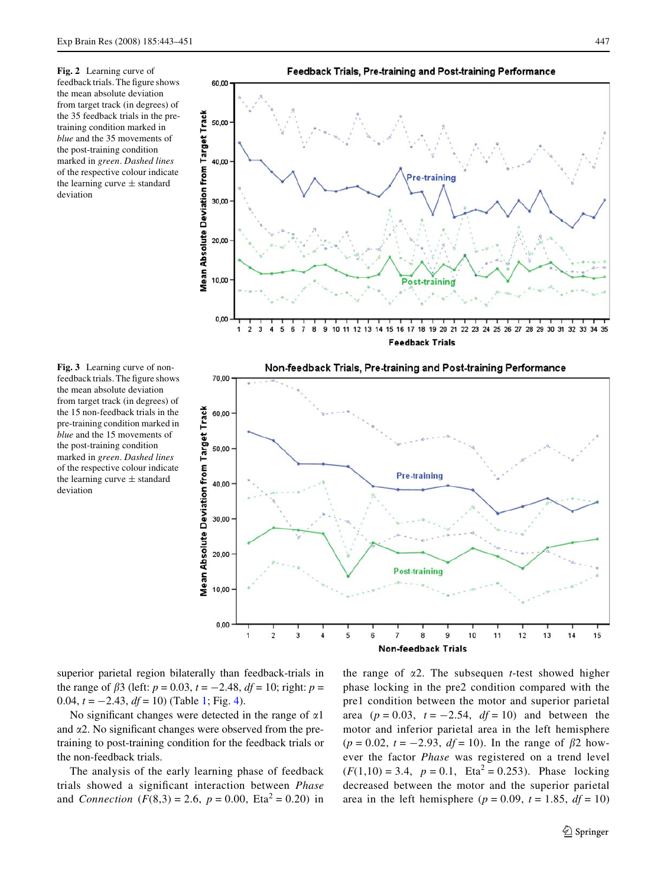<span id="page-5-0"></span>**Fig. 2** Learning curve of feedback trials. The figure shows the mean absolute deviation from target track (in degrees) of the 35 feedback trials in the pretraining condition marked in *blue* and the 35 movements of the post-training condition marked in *green*. *Dashed lines* of the respective colour indicate the learning curve  $\pm$  standard deviation

<span id="page-5-1"></span>



**Feedback Trials** 



superior parietal region bilaterally than feedback-trials in the range of  $\beta$ 3 (left:  $p = 0.03$ ,  $t = -2.48$ ,  $df = 10$ ; right:  $p =$ 0.04,  $t = -2.43$ ,  $df = 10$  $df = 10$  $df = 10$ ) (Table 1; Fig. [4\)](#page-7-0).

No significant changes were detected in the range of  $\alpha$ 1 and  $\alpha$ 2. No significant changes were observed from the pretraining to post-training condition for the feedback trials or the non-feedback trials.

The analysis of the early learning phase of feedback trials showed a significant interaction between *Phase* and *Connection*  $(F(8,3) = 2.6, p = 0.00, Eta<sup>2</sup> = 0.20)$  in the range of  $\alpha$ 2. The subsequen *t*-test showed higher phase locking in the pre2 condition compared with the pre1 condition between the motor and superior parietal area  $(p = 0.03, t = -2.54, df = 10)$  and between the motor and inferior parietal area in the left hemisphere  $(p = 0.02, t = -2.93, df = 10)$ . In the range of  $\beta$ 2 however the factor *Phase* was registered on a trend level  $(F(1,10) = 3.4, p = 0.1, Eta<sup>2</sup> = 0.253)$ . Phase locking decreased between the motor and the superior parietal area in the left hemisphere ( $p = 0.09$ ,  $t = 1.85$ ,  $df = 10$ )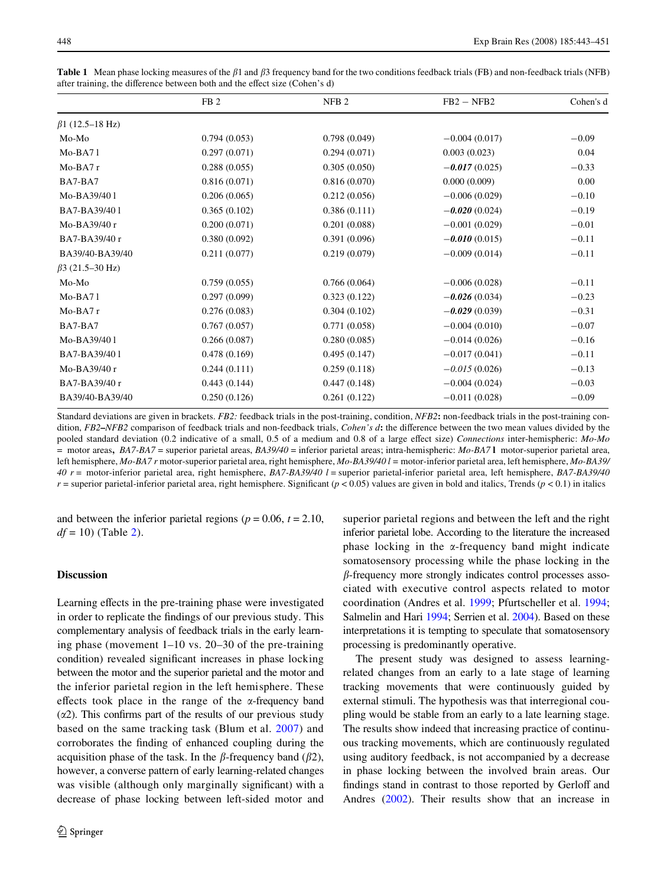|                        | FB <sub>2</sub> | NFB <sub>2</sub> | $FB2 - NFB2$    | Cohen's d |
|------------------------|-----------------|------------------|-----------------|-----------|
| $\beta$ 1 (12.5–18 Hz) |                 |                  |                 |           |
| Mo-Mo                  | 0.794(0.053)    | 0.798(0.049)     | $-0.004(0.017)$ | $-0.09$   |
| Mo-BA71                | 0.297(0.071)    | 0.294(0.071)     | 0.003(0.023)    | 0.04      |
| Mo-BA7r                | 0.288(0.055)    | 0.305(0.050)     | $-0.017(0.025)$ | $-0.33$   |
| BA7-BA7                | 0.816(0.071)    | 0.816(0.070)     | 0.000(0.009)    | 0.00      |
| Mo-BA39/401            | 0.206(0.065)    | 0.212(0.056)     | $-0.006(0.029)$ | $-0.10$   |
| BA7-BA39/401           | 0.365(0.102)    | 0.386(0.111)     | $-0.020(0.024)$ | $-0.19$   |
| Mo-BA39/40 r           | 0.200(0.071)    | 0.201(0.088)     | $-0.001(0.029)$ | $-0.01$   |
| BA7-BA39/40 r          | 0.380(0.092)    | 0.391(0.096)     | $-0.010(0.015)$ | $-0.11$   |
| BA39/40-BA39/40        | 0.211(0.077)    | 0.219(0.079)     | $-0.009(0.014)$ | $-0.11$   |
| $\beta$ 3 (21.5–30 Hz) |                 |                  |                 |           |
| Mo-Mo                  | 0.759(0.055)    | 0.766(0.064)     | $-0.006(0.028)$ | $-0.11$   |
| Mo-BA71                | 0.297(0.099)    | 0.323(0.122)     | $-0.026(0.034)$ | $-0.23$   |
| Mo-BA7 r               | 0.276(0.083)    | 0.304(0.102)     | $-0.029(0.039)$ | $-0.31$   |
| BA7-BA7                | 0.767(0.057)    | 0.771(0.058)     | $-0.004(0.010)$ | $-0.07$   |
| Mo-BA39/401            | 0.266(0.087)    | 0.280(0.085)     | $-0.014(0.026)$ | $-0.16$   |
| BA7-BA39/401           | 0.478(0.169)    | 0.495(0.147)     | $-0.017(0.041)$ | $-0.11$   |
| Mo-BA39/40 r           | 0.244(0.111)    | 0.259(0.118)     | $-0.015(0.026)$ | $-0.13$   |
| BA7-BA39/40 r          | 0.443(0.144)    | 0.447(0.148)     | $-0.004(0.024)$ | $-0.03$   |
| BA39/40-BA39/40        | 0.250(0.126)    | 0.261(0.122)     | $-0.011(0.028)$ | $-0.09$   |

<span id="page-6-0"></span>**Table 1** Mean phase locking measures of the  $\beta$ 1 and  $\beta$ 3 frequency band for the two conditions feedback trials (FB) and non-feedback trials (NFB) after training, the difference between both and the effect size (Cohen's d)

Standard deviations are given in brackets. *FB2:* feedback trials in the post-training, condition, *NFB2***:** non-feedback trials in the post-training condition, *FB2*–*NFB2* comparison of feedback trials and non-feedback trials, *Cohen's d*: the difference between the two mean values divided by the pooled standard deviation (0.2 indicative of a small, 0.5 of a medium and 0.8 of a large effect size) *Connections* inter-hemispheric: *Mo-Mo* = motor areas**,** *BA7-BA7* = superior parietal areas, *BA39/40* = inferior parietal areas; intra-hemispheric: *Mo-BA7* **l** motor-superior parietal area, left hemisphere, *Mo-BA7 r* motor-superior parietal area, right hemisphere, *Mo-BA39/40 l* = motor-inferior parietal area, left hemisphere, *Mo-BA39/ 40 r* = motor-inferior parietal area, right hemisphere, *BA7-BA39/40 l* = superior parietal-inferior parietal area, left hemisphere, *BA7-BA39/40*  $r =$  superior parietal-inferior parietal area, right hemisphere. Significant ( $p < 0.05$ ) values are given in bold and italics, Trends ( $p < 0.1$ ) in italics

and between the inferior parietal regions ( $p = 0.06$ ,  $t = 2.10$ , *df* = 10) (Table [2](#page-8-0)).

#### **Discussion**

Learning effects in the pre-training phase were investigated in order to replicate the findings of our previous study. This complementary analysis of feedback trials in the early learning phase (movement 1–10 vs. 20–30 of the pre-training condition) revealed significant increases in phase locking between the motor and the superior parietal and the motor and the inferior parietal region in the left hemisphere. These effects took place in the range of the  $\alpha$ -frequency band  $(\alpha 2)$ . This confirms part of the results of our previous study based on the same tracking task (Blum et al. [2007\)](#page-9-7) and corroborates the finding of enhanced coupling during the acquisition phase of the task. In the  $\beta$ -frequency band ( $\beta$ 2), however, a converse pattern of early learning-related changes was visible (although only marginally significant) with a decrease of phase locking between left-sided motor and superior parietal regions and between the left and the right inferior parietal lobe. According to the literature the increased phase locking in the  $\alpha$ -frequency band might indicate somatosensory processing while the phase locking in the  $\beta$ -frequency more strongly indicates control processes associated with executive control aspects related to motor coordination (Andres et al. [1999;](#page-9-6) Pfurtscheller et al. [1994;](#page-9-18) Salmelin and Hari [1994;](#page-9-19) Serrien et al. [2004\)](#page-9-9). Based on these interpretations it is tempting to speculate that somatosensory processing is predominantly operative.

The present study was designed to assess learningrelated changes from an early to a late stage of learning tracking movements that were continuously guided by external stimuli. The hypothesis was that interregional coupling would be stable from an early to a late learning stage. The results show indeed that increasing practice of continuous tracking movements, which are continuously regulated using auditory feedback, is not accompanied by a decrease in phase locking between the involved brain areas. Our findings stand in contrast to those reported by Gerloff and Andres [\(2002](#page-9-8)). Their results show that an increase in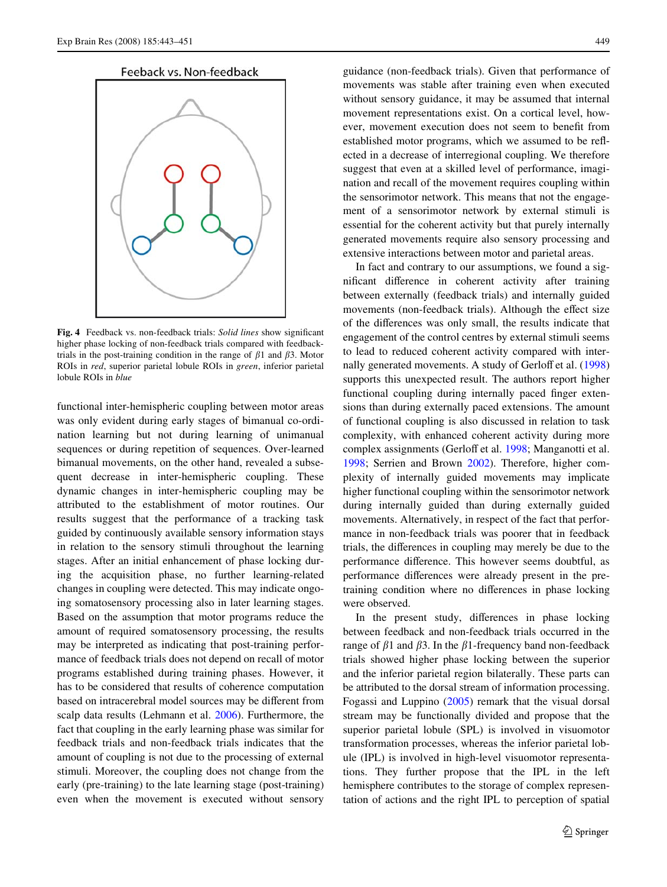

<span id="page-7-0"></span>Fig. 4 Feedback vs. non-feedback trials: *Solid lines* show significant higher phase locking of non-feedback trials compared with feedbacktrials in the post-training condition in the range of  $\beta$ 1 and  $\beta$ 3. Motor ROIs in *red*, superior parietal lobule ROIs in *green*, inferior parietal lobule ROIs in *blue*

functional inter-hemispheric coupling between motor areas was only evident during early stages of bimanual co-ordination learning but not during learning of unimanual sequences or during repetition of sequences. Over-learned bimanual movements, on the other hand, revealed a subsequent decrease in inter-hemispheric coupling. These dynamic changes in inter-hemispheric coupling may be attributed to the establishment of motor routines. Our results suggest that the performance of a tracking task guided by continuously available sensory information stays in relation to the sensory stimuli throughout the learning stages. After an initial enhancement of phase locking during the acquisition phase, no further learning-related changes in coupling were detected. This may indicate ongoing somatosensory processing also in later learning stages. Based on the assumption that motor programs reduce the amount of required somatosensory processing, the results may be interpreted as indicating that post-training performance of feedback trials does not depend on recall of motor programs established during training phases. However, it has to be considered that results of coherence computation based on intracerebral model sources may be different from scalp data results (Lehmann et al. [2006\)](#page-9-3). Furthermore, the fact that coupling in the early learning phase was similar for feedback trials and non-feedback trials indicates that the amount of coupling is not due to the processing of external stimuli. Moreover, the coupling does not change from the early (pre-training) to the late learning stage (post-training) even when the movement is executed without sensory guidance (non-feedback trials). Given that performance of movements was stable after training even when executed without sensory guidance, it may be assumed that internal movement representations exist. On a cortical level, however, movement execution does not seem to benefit from established motor programs, which we assumed to be reflected in a decrease of interregional coupling. We therefore suggest that even at a skilled level of performance, imagination and recall of the movement requires coupling within the sensorimotor network. This means that not the engagement of a sensorimotor network by external stimuli is essential for the coherent activity but that purely internally generated movements require also sensory processing and extensive interactions between motor and parietal areas.

In fact and contrary to our assumptions, we found a significant difference in coherent activity after training between externally (feedback trials) and internally guided movements (non-feedback trials). Although the effect size of the differences was only small, the results indicate that engagement of the control centres by external stimuli seems to lead to reduced coherent activity compared with inter-nally generated movements. A study of Gerloff et al. ([1998\)](#page-9-1) supports this unexpected result. The authors report higher functional coupling during internally paced finger extensions than during externally paced extensions. The amount of functional coupling is also discussed in relation to task complexity, with enhanced coherent activity during more complex assignments (Gerloff et al. [1998;](#page-9-1) Manganotti et al. [1998](#page-9-2); Serrien and Brown [2002](#page-9-4)). Therefore, higher complexity of internally guided movements may implicate higher functional coupling within the sensorimotor network during internally guided than during externally guided movements. Alternatively, in respect of the fact that performance in non-feedback trials was poorer that in feedback trials, the differences in coupling may merely be due to the performance difference. This however seems doubtful, as performance differences were already present in the pretraining condition where no differences in phase locking were observed.

In the present study, differences in phase locking between feedback and non-feedback trials occurred in the range of  $\beta$ 1 and  $\beta$ 3. In the  $\beta$ 1-frequency band non-feedback trials showed higher phase locking between the superior and the inferior parietal region bilaterally. These parts can be attributed to the dorsal stream of information processing. Fogassi and Luppino [\(2005](#page-9-20)) remark that the visual dorsal stream may be functionally divided and propose that the superior parietal lobule (SPL) is involved in visuomotor transformation processes, whereas the inferior parietal lobule (IPL) is involved in high-level visuomotor representations. They further propose that the IPL in the left hemisphere contributes to the storage of complex representation of actions and the right IPL to perception of spatial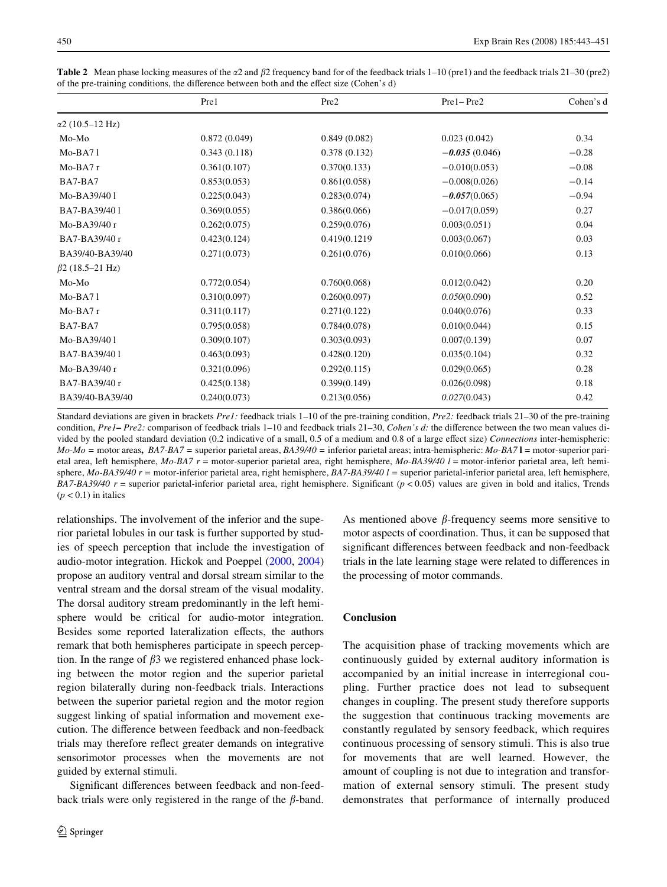| $\sim$<br>of the pre-training conditions, the difference between both and the effect size (Cohen's d) |              |              |                 |           |  |  |
|-------------------------------------------------------------------------------------------------------|--------------|--------------|-----------------|-----------|--|--|
|                                                                                                       | Pre1         | Pre2         | Pre1 – Pre2     | Cohen's d |  |  |
| $\alpha$ 2 (10.5–12 Hz)                                                                               |              |              |                 |           |  |  |
| Mo-Mo                                                                                                 | 0.872(0.049) | 0.849(0.082) | 0.023(0.042)    | 0.34      |  |  |
| $Mo-BA71$                                                                                             | 0.343(0.118) | 0.378(0.132) | $-0.035(0.046)$ | $-0.28$   |  |  |
| $Mo-BA7r$                                                                                             | 0.361(0.107) | 0.370(0.133) | $-0.010(0.053)$ | $-0.08$   |  |  |

<span id="page-8-0"></span>**Table 2** Mean phase locking measures of the  $\alpha$ 2 and  $\beta$ 2 frequency band for of the feedback trials 1–10 (pre1) and the feedback trials 21–30 (pre2)

| $MO-BA/T$              | 0.301(0.107) | 0.370(0.133)  | $-0.010(0.033)$ | $-0.08$ |
|------------------------|--------------|---------------|-----------------|---------|
| BA7-BA7                | 0.853(0.053) | 0.861(0.058)  | $-0.008(0.026)$ | $-0.14$ |
| Mo-BA39/401            | 0.225(0.043) | 0.283(0.074)  | $-0.057(0.065)$ | $-0.94$ |
| BA7-BA39/40 1          | 0.369(0.055) | 0.386(0.066)  | $-0.017(0.059)$ | 0.27    |
| Mo-BA39/40 r           | 0.262(0.075) | 0.259(0.076)  | 0.003(0.051)    | 0.04    |
| BA7-BA39/40 r          | 0.423(0.124) | 0.419(0.1219) | 0.003(0.067)    | 0.03    |
| BA39/40-BA39/40        | 0.271(0.073) | 0.261(0.076)  | 0.010(0.066)    | 0.13    |
| $\beta$ 2 (18.5–21 Hz) |              |               |                 |         |
| Mo-Mo                  | 0.772(0.054) | 0.760(0.068)  | 0.012(0.042)    | 0.20    |
| Mo-BA71                | 0.310(0.097) | 0.260(0.097)  | 0.050(0.090)    | 0.52    |
| Mo-BA7 r               | 0.311(0.117) | 0.271(0.122)  | 0.040(0.076)    | 0.33    |
| BA7-BA7                | 0.795(0.058) | 0.784(0.078)  | 0.010(0.044)    | 0.15    |
| Mo-BA39/401            | 0.309(0.107) | 0.303(0.093)  | 0.007(0.139)    | 0.07    |
| BA7-BA39/401           | 0.463(0.093) | 0.428(0.120)  | 0.035(0.104)    | 0.32    |
| Mo-BA39/40 r           | 0.321(0.096) | 0.292(0.115)  | 0.029(0.065)    | 0.28    |
| BA7-BA39/40 r          | 0.425(0.138) | 0.399(0.149)  | 0.026(0.098)    | 0.18    |
| BA39/40-BA39/40        | 0.240(0.073) | 0.213(0.056)  | 0.027(0.043)    | 0.42    |

Standard deviations are given in brackets *Pre1:* feedback trials 1–10 of the pre-training condition, *Pre2:* feedback trials 21–30 of the pre-training condition, *Pre1*–*Pre2*: comparison of feedback trials 1–10 and feedback trials 21–30, *Cohen's d:* the difference between the two mean values divided by the pooled standard deviation (0.2 indicative of a small, 0.5 of a medium and 0.8 of a large effect size) *Connections* inter-hemispheric: *Mo-Mo =* motor areas**,** *BA7-BA7 =* superior parietal areas, *BA39/40 =* inferior parietal areas; intra-hemispheric: *Mo-BA7* **l** = motor-superior parietal area, left hemisphere, *Mo-BA7 r =* motor-superior parietal area, right hemisphere, *Mo-BA39/40 l* = motor-inferior parietal area, left hemisphere, *Mo-BA39/40 r =* motor-inferior parietal area, right hemisphere, *BA7-BA39/40 l =* superior parietal-inferior parietal area, left hemisphere, *BA7-BA39/40 r* = superior parietal-inferior parietal area, right hemisphere. Significant (*p* < 0.05) values are given in bold and italics, Trends  $(p < 0.1)$  in italics

relationships. The involvement of the inferior and the superior parietal lobules in our task is further supported by studies of speech perception that include the investigation of audio-motor integration. Hickok and Poeppel [\(2000](#page-9-21), [2004\)](#page-9-22) propose an auditory ventral and dorsal stream similar to the ventral stream and the dorsal stream of the visual modality. The dorsal auditory stream predominantly in the left hemisphere would be critical for audio-motor integration. Besides some reported lateralization effects, the authors remark that both hemispheres participate in speech perception. In the range of  $\beta$ 3 we registered enhanced phase locking between the motor region and the superior parietal region bilaterally during non-feedback trials. Interactions between the superior parietal region and the motor region suggest linking of spatial information and movement execution. The difference between feedback and non-feedback trials may therefore reflect greater demands on integrative sensorimotor processes when the movements are not guided by external stimuli.

Significant differences between feedback and non-feedback trials were only registered in the range of the  $\beta$ -band.

As mentioned above  $\beta$ -frequency seems more sensitive to motor aspects of coordination. Thus, it can be supposed that significant differences between feedback and non-feedback trials in the late learning stage were related to differences in the processing of motor commands.

#### **Conclusion**

The acquisition phase of tracking movements which are continuously guided by external auditory information is accompanied by an initial increase in interregional coupling. Further practice does not lead to subsequent changes in coupling. The present study therefore supports the suggestion that continuous tracking movements are constantly regulated by sensory feedback, which requires continuous processing of sensory stimuli. This is also true for movements that are well learned. However, the amount of coupling is not due to integration and transformation of external sensory stimuli. The present study demonstrates that performance of internally produced